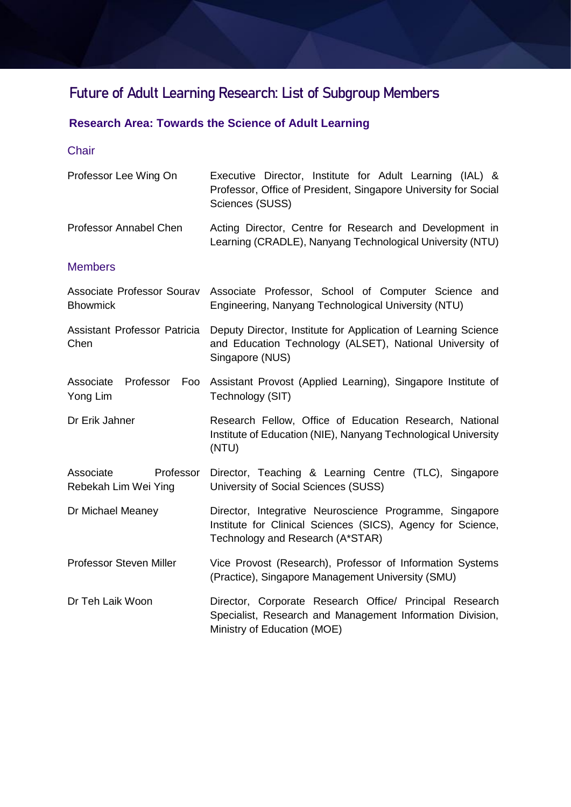# **Future of Adult Learning Research: List of Subgroup Members**

## **Research Area: Towards the Science of Adult Learning**

#### **Chair**

| Professor Lee Wing On                          | Executive Director, Institute for Adult Learning (IAL) &<br>Professor, Office of President, Singapore University for Social<br>Sciences (SUSS)             |
|------------------------------------------------|------------------------------------------------------------------------------------------------------------------------------------------------------------|
| Professor Annabel Chen                         | Acting Director, Centre for Research and Development in<br>Learning (CRADLE), Nanyang Technological University (NTU)                                       |
| <b>Members</b>                                 |                                                                                                                                                            |
| <b>Bhowmick</b>                                | Associate Professor Sourav Associate Professor, School of Computer Science and<br>Engineering, Nanyang Technological University (NTU)                      |
| <b>Assistant Professor Patricia</b><br>Chen    | Deputy Director, Institute for Application of Learning Science<br>and Education Technology (ALSET), National University of<br>Singapore (NUS)              |
| Associate<br>Professor<br>Foo<br>Yong Lim      | Assistant Provost (Applied Learning), Singapore Institute of<br>Technology (SIT)                                                                           |
| Dr Erik Jahner                                 | Research Fellow, Office of Education Research, National<br>Institute of Education (NIE), Nanyang Technological University<br>(NTU)                         |
| Associate<br>Professor<br>Rebekah Lim Wei Ying | Director, Teaching & Learning Centre (TLC), Singapore<br>University of Social Sciences (SUSS)                                                              |
| Dr Michael Meaney                              | Director, Integrative Neuroscience Programme, Singapore<br>Institute for Clinical Sciences (SICS), Agency for Science,<br>Technology and Research (A*STAR) |
| <b>Professor Steven Miller</b>                 | Vice Provost (Research), Professor of Information Systems<br>(Practice), Singapore Management University (SMU)                                             |
| Dr Teh Laik Woon                               | Director, Corporate Research Office/ Principal Research<br>Specialist, Research and Management Information Division,                                       |

Ministry of Education (MOE)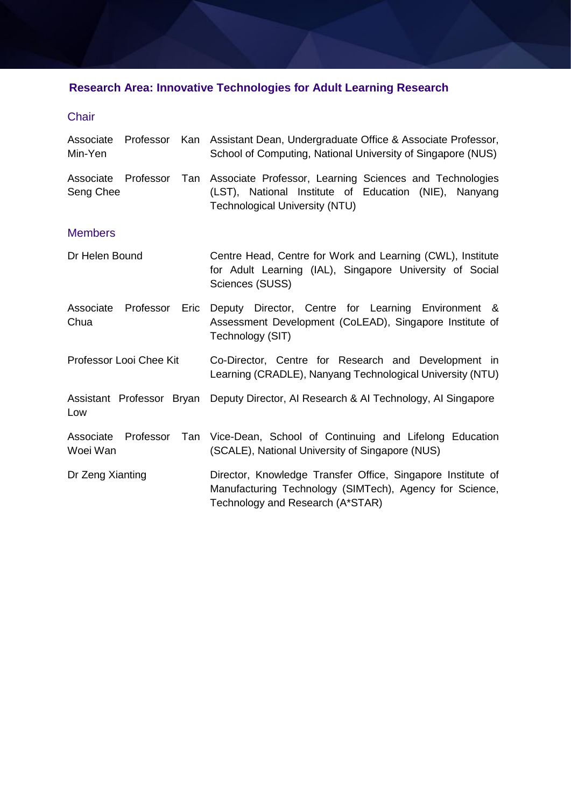# **Research Area: Innovative Technologies for Adult Learning Research**

#### Chair

| Associate<br>Min-Yen             | Professor               |      | Kan Assistant Dean, Undergraduate Office & Associate Professor,<br>School of Computing, National University of Singapore (NUS)                             |
|----------------------------------|-------------------------|------|------------------------------------------------------------------------------------------------------------------------------------------------------------|
| Associate Professor<br>Seng Chee |                         | Tan  | Associate Professor, Learning Sciences and Technologies<br>(LST), National Institute of Education (NIE), Nanyang<br><b>Technological University (NTU)</b>  |
| <b>Members</b>                   |                         |      |                                                                                                                                                            |
| Dr Helen Bound                   |                         |      | Centre Head, Centre for Work and Learning (CWL), Institute<br>for Adult Learning (IAL), Singapore University of Social<br>Sciences (SUSS)                  |
| Associate Professor<br>Chua      |                         | Eric | Deputy Director, Centre for Learning Environment &<br>Assessment Development (CoLEAD), Singapore Institute of<br>Technology (SIT)                          |
|                                  | Professor Looi Chee Kit |      | Co-Director, Centre for Research and Development in<br>Learning (CRADLE), Nanyang Technological University (NTU)                                           |
| Low                              |                         |      | Assistant Professor Bryan Deputy Director, AI Research & AI Technology, AI Singapore                                                                       |
| Associate<br>Woei Wan            | Professor               |      | Tan Vice-Dean, School of Continuing and Lifelong Education<br>(SCALE), National University of Singapore (NUS)                                              |
| Dr Zeng Xianting                 |                         |      | Director, Knowledge Transfer Office, Singapore Institute of<br>Manufacturing Technology (SIMTech), Agency for Science,<br>Technology and Research (A*STAR) |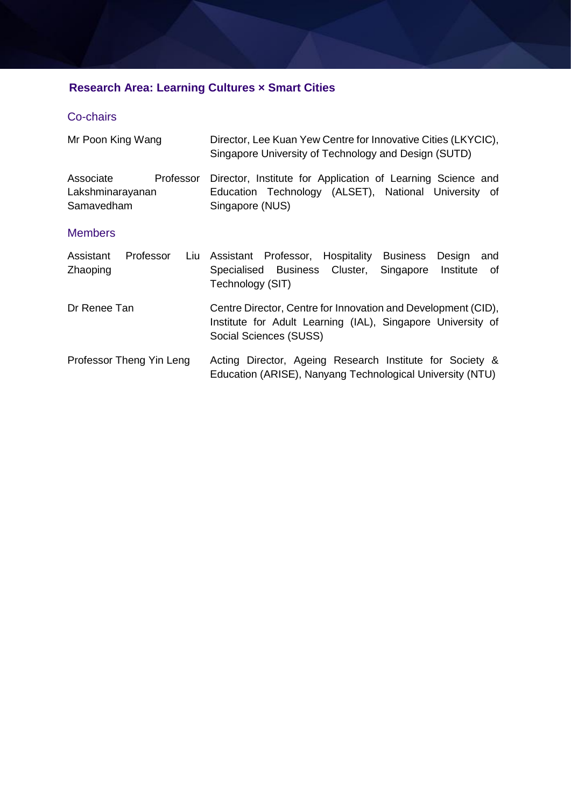## **Research Area: Learning Cultures × Smart Cities**

#### Co-chairs

| Mr Poon King Wang                                        | Director, Lee Kuan Yew Centre for Innovative Cities (LKYCIC),<br>Singapore University of Technology and Design (SUTD)                                  |  |  |
|----------------------------------------------------------|--------------------------------------------------------------------------------------------------------------------------------------------------------|--|--|
| Professor<br>Associate<br>Lakshminarayanan<br>Samavedham | Director, Institute for Application of Learning Science and<br>Education Technology (ALSET), National University of<br>Singapore (NUS)                 |  |  |
| <b>Members</b>                                           |                                                                                                                                                        |  |  |
| Assistant<br>Professor<br>Liu<br>Zhaoping                | Assistant Professor, Hospitality Business<br>Design<br>and<br>Specialised Business Cluster,<br>Singapore<br>Institute<br>0f<br>Technology (SIT)        |  |  |
| Dr Renee Tan                                             | Centre Director, Centre for Innovation and Development (CID),<br>Institute for Adult Learning (IAL), Singapore University of<br>Social Sciences (SUSS) |  |  |
| Professor Theng Yin Leng                                 | Acting Director, Ageing Research Institute for Society &<br>Education (ARISE), Nanyang Technological University (NTU)                                  |  |  |